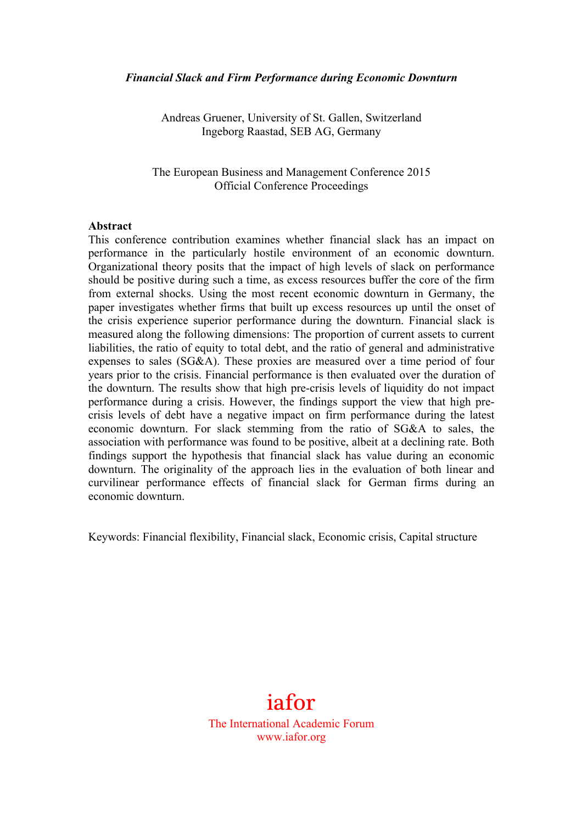#### *Financial Slack and Firm Performance during Economic Downturn*

Andreas Gruener, University of St. Gallen, Switzerland Ingeborg Raastad, SEB AG, Germany

The European Business and Management Conference 2015 Official Conference Proceedings

#### **Abstract**

This conference contribution examines whether financial slack has an impact on performance in the particularly hostile environment of an economic downturn. Organizational theory posits that the impact of high levels of slack on performance should be positive during such a time, as excess resources buffer the core of the firm from external shocks. Using the most recent economic downturn in Germany, the paper investigates whether firms that built up excess resources up until the onset of the crisis experience superior performance during the downturn. Financial slack is measured along the following dimensions: The proportion of current assets to current liabilities, the ratio of equity to total debt, and the ratio of general and administrative expenses to sales (SG&A). These proxies are measured over a time period of four years prior to the crisis. Financial performance is then evaluated over the duration of the downturn. The results show that high pre-crisis levels of liquidity do not impact performance during a crisis. However, the findings support the view that high precrisis levels of debt have a negative impact on firm performance during the latest economic downturn. For slack stemming from the ratio of SG&A to sales, the association with performance was found to be positive, albeit at a declining rate. Both findings support the hypothesis that financial slack has value during an economic downturn. The originality of the approach lies in the evaluation of both linear and curvilinear performance effects of financial slack for German firms during an economic downturn.

Keywords: Financial flexibility, Financial slack, Economic crisis, Capital structure

# iafor

The International Academic Forum www.iafor.org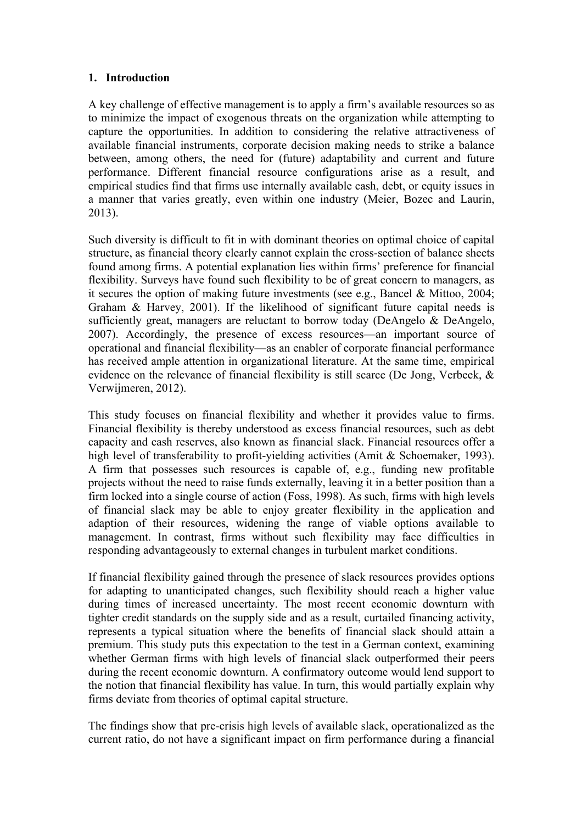#### **1. Introduction**

A key challenge of effective management is to apply a firm's available resources so as to minimize the impact of exogenous threats on the organization while attempting to capture the opportunities. In addition to considering the relative attractiveness of available financial instruments, corporate decision making needs to strike a balance between, among others, the need for (future) adaptability and current and future performance. Different financial resource configurations arise as a result, and empirical studies find that firms use internally available cash, debt, or equity issues in a manner that varies greatly, even within one industry (Meier, Bozec and Laurin, 2013).

Such diversity is difficult to fit in with dominant theories on optimal choice of capital structure, as financial theory clearly cannot explain the cross-section of balance sheets found among firms. A potential explanation lies within firms' preference for financial flexibility. Surveys have found such flexibility to be of great concern to managers, as it secures the option of making future investments (see e.g., Bancel & Mittoo, 2004; Graham & Harvey, 2001). If the likelihood of significant future capital needs is sufficiently great, managers are reluctant to borrow today (DeAngelo & DeAngelo, 2007). Accordingly, the presence of excess resources—an important source of operational and financial flexibility—as an enabler of corporate financial performance has received ample attention in organizational literature. At the same time, empirical evidence on the relevance of financial flexibility is still scarce (De Jong, Verbeek, & Verwijmeren, 2012).

This study focuses on financial flexibility and whether it provides value to firms. Financial flexibility is thereby understood as excess financial resources, such as debt capacity and cash reserves, also known as financial slack. Financial resources offer a high level of transferability to profit-vielding activities (Amit & Schoemaker, 1993). A firm that possesses such resources is capable of, e.g., funding new profitable projects without the need to raise funds externally, leaving it in a better position than a firm locked into a single course of action (Foss, 1998). As such, firms with high levels of financial slack may be able to enjoy greater flexibility in the application and adaption of their resources, widening the range of viable options available to management. In contrast, firms without such flexibility may face difficulties in responding advantageously to external changes in turbulent market conditions.

If financial flexibility gained through the presence of slack resources provides options for adapting to unanticipated changes, such flexibility should reach a higher value during times of increased uncertainty. The most recent economic downturn with tighter credit standards on the supply side and as a result, curtailed financing activity, represents a typical situation where the benefits of financial slack should attain a premium. This study puts this expectation to the test in a German context, examining whether German firms with high levels of financial slack outperformed their peers during the recent economic downturn. A confirmatory outcome would lend support to the notion that financial flexibility has value. In turn, this would partially explain why firms deviate from theories of optimal capital structure.

The findings show that pre-crisis high levels of available slack, operationalized as the current ratio, do not have a significant impact on firm performance during a financial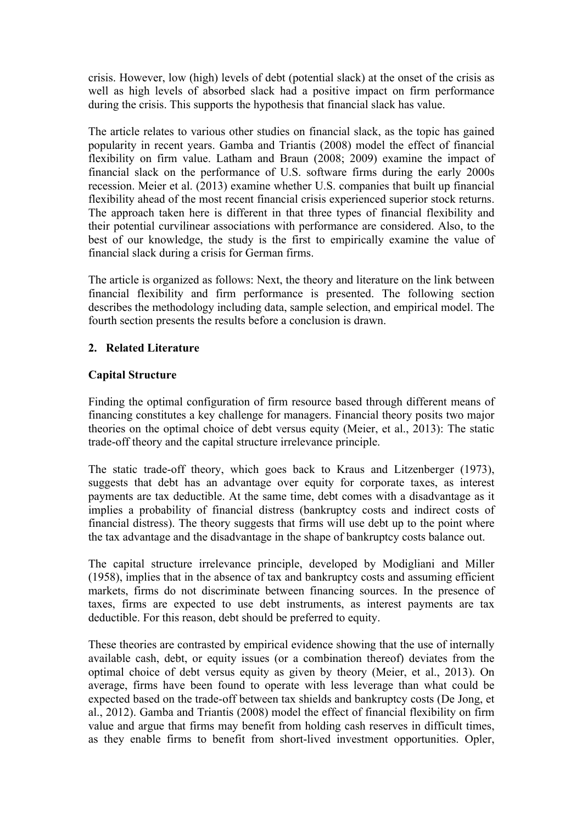crisis. However, low (high) levels of debt (potential slack) at the onset of the crisis as well as high levels of absorbed slack had a positive impact on firm performance during the crisis. This supports the hypothesis that financial slack has value.

The article relates to various other studies on financial slack, as the topic has gained popularity in recent years. Gamba and Triantis (2008) model the effect of financial flexibility on firm value. Latham and Braun (2008; 2009) examine the impact of financial slack on the performance of U.S. software firms during the early 2000s recession. Meier et al. (2013) examine whether U.S. companies that built up financial flexibility ahead of the most recent financial crisis experienced superior stock returns. The approach taken here is different in that three types of financial flexibility and their potential curvilinear associations with performance are considered. Also, to the best of our knowledge, the study is the first to empirically examine the value of financial slack during a crisis for German firms.

The article is organized as follows: Next, the theory and literature on the link between financial flexibility and firm performance is presented. The following section describes the methodology including data, sample selection, and empirical model. The fourth section presents the results before a conclusion is drawn.

## **2. Related Literature**

#### **Capital Structure**

Finding the optimal configuration of firm resource based through different means of financing constitutes a key challenge for managers. Financial theory posits two major theories on the optimal choice of debt versus equity (Meier, et al., 2013): The static trade-off theory and the capital structure irrelevance principle.

The static trade-off theory, which goes back to Kraus and Litzenberger (1973), suggests that debt has an advantage over equity for corporate taxes, as interest payments are tax deductible. At the same time, debt comes with a disadvantage as it implies a probability of financial distress (bankruptcy costs and indirect costs of financial distress). The theory suggests that firms will use debt up to the point where the tax advantage and the disadvantage in the shape of bankruptcy costs balance out.

The capital structure irrelevance principle, developed by Modigliani and Miller (1958), implies that in the absence of tax and bankruptcy costs and assuming efficient markets, firms do not discriminate between financing sources. In the presence of taxes, firms are expected to use debt instruments, as interest payments are tax deductible. For this reason, debt should be preferred to equity.

These theories are contrasted by empirical evidence showing that the use of internally available cash, debt, or equity issues (or a combination thereof) deviates from the optimal choice of debt versus equity as given by theory (Meier, et al., 2013). On average, firms have been found to operate with less leverage than what could be expected based on the trade-off between tax shields and bankruptcy costs (De Jong, et al., 2012). Gamba and Triantis (2008) model the effect of financial flexibility on firm value and argue that firms may benefit from holding cash reserves in difficult times, as they enable firms to benefit from short-lived investment opportunities. Opler,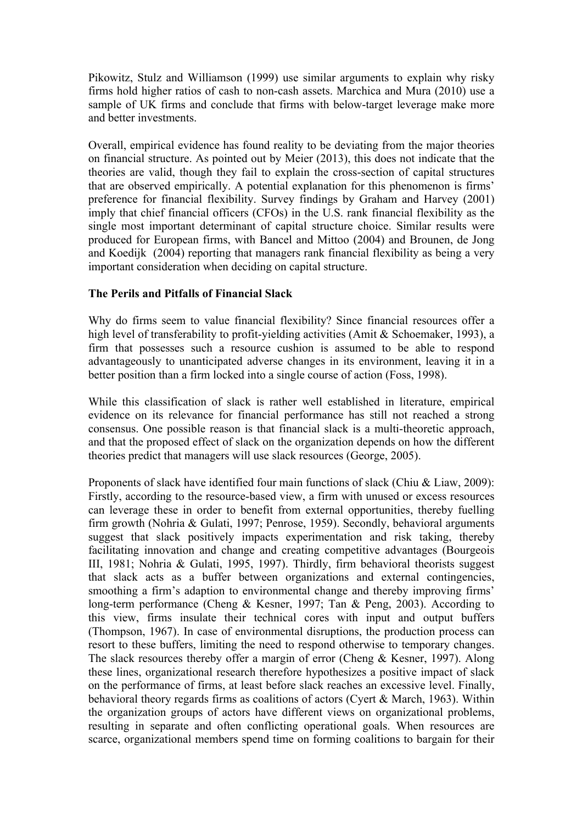Pikowitz, Stulz and Williamson (1999) use similar arguments to explain why risky firms hold higher ratios of cash to non-cash assets. Marchica and Mura (2010) use a sample of UK firms and conclude that firms with below-target leverage make more and better investments.

Overall, empirical evidence has found reality to be deviating from the major theories on financial structure. As pointed out by Meier (2013), this does not indicate that the theories are valid, though they fail to explain the cross-section of capital structures that are observed empirically. A potential explanation for this phenomenon is firms' preference for financial flexibility. Survey findings by Graham and Harvey (2001) imply that chief financial officers (CFOs) in the U.S. rank financial flexibility as the single most important determinant of capital structure choice. Similar results were produced for European firms, with Bancel and Mittoo (2004) and Brounen, de Jong and Koedijk (2004) reporting that managers rank financial flexibility as being a very important consideration when deciding on capital structure.

## **The Perils and Pitfalls of Financial Slack**

Why do firms seem to value financial flexibility? Since financial resources offer a high level of transferability to profit-yielding activities (Amit & Schoemaker, 1993), a firm that possesses such a resource cushion is assumed to be able to respond advantageously to unanticipated adverse changes in its environment, leaving it in a better position than a firm locked into a single course of action (Foss, 1998).

While this classification of slack is rather well established in literature, empirical evidence on its relevance for financial performance has still not reached a strong consensus. One possible reason is that financial slack is a multi-theoretic approach, and that the proposed effect of slack on the organization depends on how the different theories predict that managers will use slack resources (George, 2005).

Proponents of slack have identified four main functions of slack (Chiu & Liaw, 2009): Firstly, according to the resource-based view, a firm with unused or excess resources can leverage these in order to benefit from external opportunities, thereby fuelling firm growth (Nohria & Gulati, 1997; Penrose, 1959). Secondly, behavioral arguments suggest that slack positively impacts experimentation and risk taking, thereby facilitating innovation and change and creating competitive advantages (Bourgeois III, 1981; Nohria & Gulati, 1995, 1997). Thirdly, firm behavioral theorists suggest that slack acts as a buffer between organizations and external contingencies, smoothing a firm's adaption to environmental change and thereby improving firms' long-term performance (Cheng & Kesner, 1997; Tan & Peng, 2003). According to this view, firms insulate their technical cores with input and output buffers (Thompson, 1967). In case of environmental disruptions, the production process can resort to these buffers, limiting the need to respond otherwise to temporary changes. The slack resources thereby offer a margin of error (Cheng & Kesner, 1997). Along these lines, organizational research therefore hypothesizes a positive impact of slack on the performance of firms, at least before slack reaches an excessive level. Finally, behavioral theory regards firms as coalitions of actors (Cyert & March, 1963). Within the organization groups of actors have different views on organizational problems, resulting in separate and often conflicting operational goals. When resources are scarce, organizational members spend time on forming coalitions to bargain for their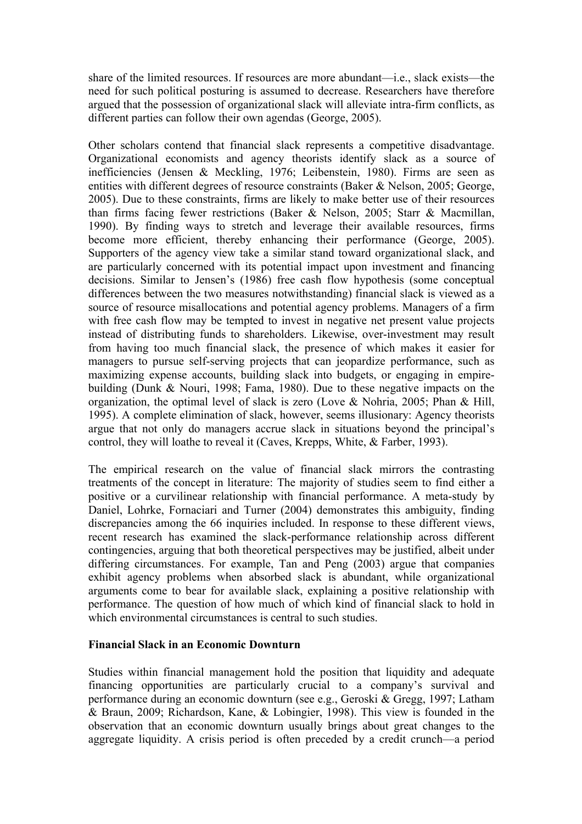share of the limited resources. If resources are more abundant—i.e., slack exists—the need for such political posturing is assumed to decrease. Researchers have therefore argued that the possession of organizational slack will alleviate intra-firm conflicts, as different parties can follow their own agendas (George, 2005).

Other scholars contend that financial slack represents a competitive disadvantage. Organizational economists and agency theorists identify slack as a source of inefficiencies (Jensen & Meckling, 1976; Leibenstein, 1980). Firms are seen as entities with different degrees of resource constraints (Baker & Nelson, 2005; George, 2005). Due to these constraints, firms are likely to make better use of their resources than firms facing fewer restrictions (Baker & Nelson, 2005; Starr & Macmillan, 1990). By finding ways to stretch and leverage their available resources, firms become more efficient, thereby enhancing their performance (George, 2005). Supporters of the agency view take a similar stand toward organizational slack, and are particularly concerned with its potential impact upon investment and financing decisions. Similar to Jensen's (1986) free cash flow hypothesis (some conceptual differences between the two measures notwithstanding) financial slack is viewed as a source of resource misallocations and potential agency problems. Managers of a firm with free cash flow may be tempted to invest in negative net present value projects instead of distributing funds to shareholders. Likewise, over-investment may result from having too much financial slack, the presence of which makes it easier for managers to pursue self-serving projects that can jeopardize performance, such as maximizing expense accounts, building slack into budgets, or engaging in empirebuilding (Dunk & Nouri, 1998; Fama, 1980). Due to these negative impacts on the organization, the optimal level of slack is zero (Love & Nohria, 2005; Phan & Hill, 1995). A complete elimination of slack, however, seems illusionary: Agency theorists argue that not only do managers accrue slack in situations beyond the principal's control, they will loathe to reveal it (Caves, Krepps, White, & Farber, 1993).

The empirical research on the value of financial slack mirrors the contrasting treatments of the concept in literature: The majority of studies seem to find either a positive or a curvilinear relationship with financial performance. A meta-study by Daniel, Lohrke, Fornaciari and Turner (2004) demonstrates this ambiguity, finding discrepancies among the 66 inquiries included. In response to these different views, recent research has examined the slack-performance relationship across different contingencies, arguing that both theoretical perspectives may be justified, albeit under differing circumstances. For example, Tan and Peng (2003) argue that companies exhibit agency problems when absorbed slack is abundant, while organizational arguments come to bear for available slack, explaining a positive relationship with performance. The question of how much of which kind of financial slack to hold in which environmental circumstances is central to such studies.

#### **Financial Slack in an Economic Downturn**

Studies within financial management hold the position that liquidity and adequate financing opportunities are particularly crucial to a company's survival and performance during an economic downturn (see e.g., Geroski & Gregg, 1997; Latham & Braun, 2009; Richardson, Kane, & Lobingier, 1998). This view is founded in the observation that an economic downturn usually brings about great changes to the aggregate liquidity. A crisis period is often preceded by a credit crunch—a period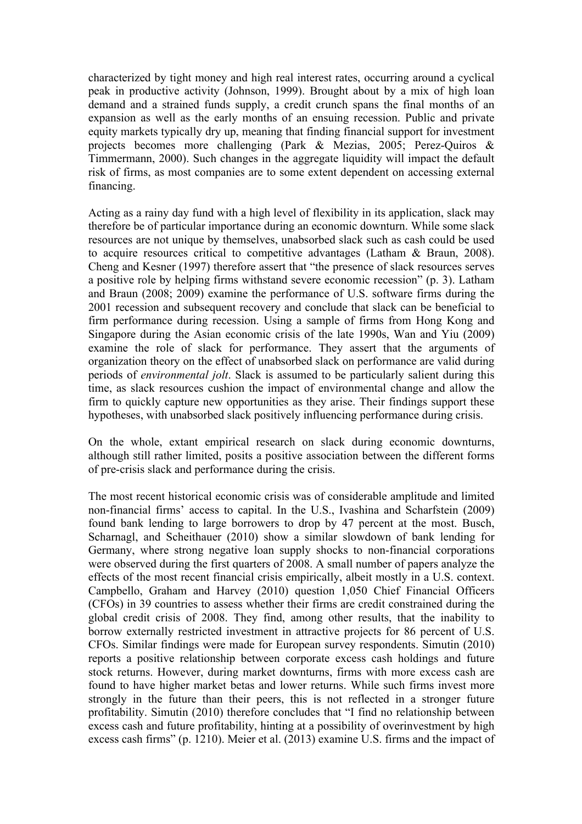characterized by tight money and high real interest rates, occurring around a cyclical peak in productive activity (Johnson, 1999). Brought about by a mix of high loan demand and a strained funds supply, a credit crunch spans the final months of an expansion as well as the early months of an ensuing recession. Public and private equity markets typically dry up, meaning that finding financial support for investment projects becomes more challenging (Park & Mezias, 2005; Perez-Quiros & Timmermann, 2000). Such changes in the aggregate liquidity will impact the default risk of firms, as most companies are to some extent dependent on accessing external financing.

Acting as a rainy day fund with a high level of flexibility in its application, slack may therefore be of particular importance during an economic downturn. While some slack resources are not unique by themselves, unabsorbed slack such as cash could be used to acquire resources critical to competitive advantages (Latham & Braun, 2008). Cheng and Kesner (1997) therefore assert that "the presence of slack resources serves a positive role by helping firms withstand severe economic recession" (p. 3). Latham and Braun (2008; 2009) examine the performance of U.S. software firms during the 2001 recession and subsequent recovery and conclude that slack can be beneficial to firm performance during recession. Using a sample of firms from Hong Kong and Singapore during the Asian economic crisis of the late 1990s, Wan and Yiu (2009) examine the role of slack for performance. They assert that the arguments of organization theory on the effect of unabsorbed slack on performance are valid during periods of *environmental jolt*. Slack is assumed to be particularly salient during this time, as slack resources cushion the impact of environmental change and allow the firm to quickly capture new opportunities as they arise. Their findings support these hypotheses, with unabsorbed slack positively influencing performance during crisis.

On the whole, extant empirical research on slack during economic downturns, although still rather limited, posits a positive association between the different forms of pre-crisis slack and performance during the crisis.

The most recent historical economic crisis was of considerable amplitude and limited non-financial firms' access to capital. In the U.S., Ivashina and Scharfstein (2009) found bank lending to large borrowers to drop by 47 percent at the most. Busch, Scharnagl, and Scheithauer (2010) show a similar slowdown of bank lending for Germany, where strong negative loan supply shocks to non-financial corporations were observed during the first quarters of 2008. A small number of papers analyze the effects of the most recent financial crisis empirically, albeit mostly in a U.S. context. Campbello, Graham and Harvey (2010) question 1,050 Chief Financial Officers (CFOs) in 39 countries to assess whether their firms are credit constrained during the global credit crisis of 2008. They find, among other results, that the inability to borrow externally restricted investment in attractive projects for 86 percent of U.S. CFOs. Similar findings were made for European survey respondents. Simutin (2010) reports a positive relationship between corporate excess cash holdings and future stock returns. However, during market downturns, firms with more excess cash are found to have higher market betas and lower returns. While such firms invest more strongly in the future than their peers, this is not reflected in a stronger future profitability. Simutin (2010) therefore concludes that "I find no relationship between excess cash and future profitability, hinting at a possibility of overinvestment by high excess cash firms" (p. 1210). Meier et al. (2013) examine U.S. firms and the impact of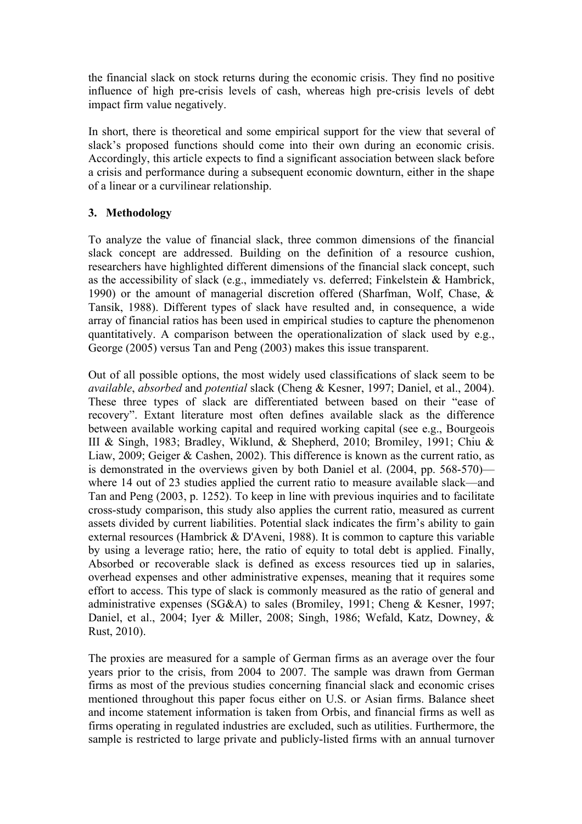the financial slack on stock returns during the economic crisis. They find no positive influence of high pre-crisis levels of cash, whereas high pre-crisis levels of debt impact firm value negatively.

In short, there is theoretical and some empirical support for the view that several of slack's proposed functions should come into their own during an economic crisis. Accordingly, this article expects to find a significant association between slack before a crisis and performance during a subsequent economic downturn, either in the shape of a linear or a curvilinear relationship.

## **3. Methodology**

To analyze the value of financial slack, three common dimensions of the financial slack concept are addressed. Building on the definition of a resource cushion, researchers have highlighted different dimensions of the financial slack concept, such as the accessibility of slack (e.g., immediately vs. deferred; Finkelstein & Hambrick, 1990) or the amount of managerial discretion offered (Sharfman, Wolf, Chase, & Tansik, 1988). Different types of slack have resulted and, in consequence, a wide array of financial ratios has been used in empirical studies to capture the phenomenon quantitatively. A comparison between the operationalization of slack used by e.g., George (2005) versus Tan and Peng (2003) makes this issue transparent.

Out of all possible options, the most widely used classifications of slack seem to be *available*, *absorbed* and *potential* slack (Cheng & Kesner, 1997; Daniel, et al., 2004). These three types of slack are differentiated between based on their "ease of recovery". Extant literature most often defines available slack as the difference between available working capital and required working capital (see e.g., Bourgeois III & Singh, 1983; Bradley, Wiklund, & Shepherd, 2010; Bromiley, 1991; Chiu & Liaw, 2009; Geiger & Cashen, 2002). This difference is known as the current ratio, as is demonstrated in the overviews given by both Daniel et al. (2004, pp. 568-570) where 14 out of 23 studies applied the current ratio to measure available slack—and Tan and Peng (2003, p. 1252). To keep in line with previous inquiries and to facilitate cross-study comparison, this study also applies the current ratio, measured as current assets divided by current liabilities. Potential slack indicates the firm's ability to gain external resources (Hambrick & D'Aveni, 1988). It is common to capture this variable by using a leverage ratio; here, the ratio of equity to total debt is applied. Finally, Absorbed or recoverable slack is defined as excess resources tied up in salaries, overhead expenses and other administrative expenses, meaning that it requires some effort to access. This type of slack is commonly measured as the ratio of general and administrative expenses (SG&A) to sales (Bromiley, 1991; Cheng & Kesner, 1997; Daniel, et al., 2004; Iyer & Miller, 2008; Singh, 1986; Wefald, Katz, Downey, & Rust, 2010).

The proxies are measured for a sample of German firms as an average over the four years prior to the crisis, from 2004 to 2007. The sample was drawn from German firms as most of the previous studies concerning financial slack and economic crises mentioned throughout this paper focus either on U.S. or Asian firms. Balance sheet and income statement information is taken from Orbis, and financial firms as well as firms operating in regulated industries are excluded, such as utilities. Furthermore, the sample is restricted to large private and publicly-listed firms with an annual turnover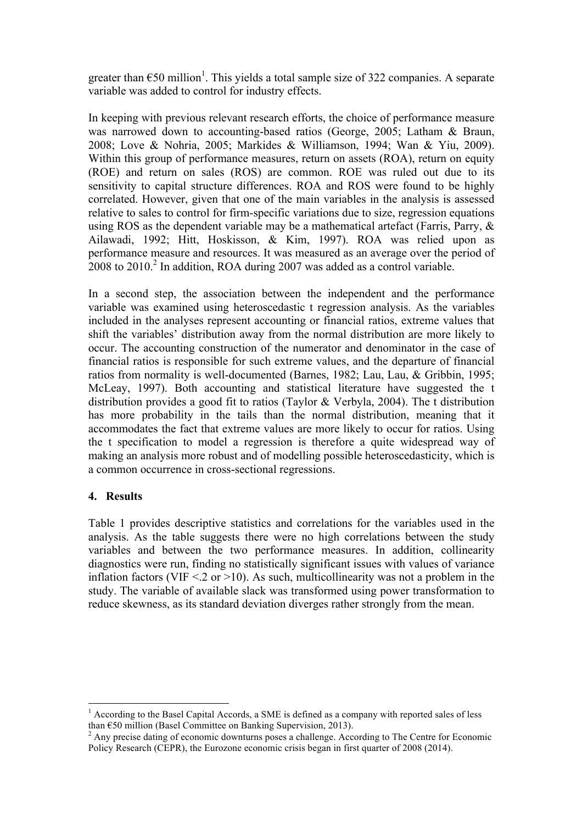greater than  $\epsilon$ 50 million<sup>1</sup>. This yields a total sample size of 322 companies. A separate variable was added to control for industry effects.

In keeping with previous relevant research efforts, the choice of performance measure was narrowed down to accounting-based ratios (George, 2005; Latham & Braun, 2008; Love & Nohria, 2005; Markides & Williamson, 1994; Wan & Yiu, 2009). Within this group of performance measures, return on assets (ROA), return on equity (ROE) and return on sales (ROS) are common. ROE was ruled out due to its sensitivity to capital structure differences. ROA and ROS were found to be highly correlated. However, given that one of the main variables in the analysis is assessed relative to sales to control for firm-specific variations due to size, regression equations using ROS as the dependent variable may be a mathematical artefact (Farris, Parry, & Ailawadi, 1992; Hitt, Hoskisson, & Kim, 1997). ROA was relied upon as performance measure and resources. It was measured as an average over the period of  $2008$  to  $2010<sup>2</sup>$  In addition, ROA during 2007 was added as a control variable.

In a second step, the association between the independent and the performance variable was examined using heteroscedastic t regression analysis. As the variables included in the analyses represent accounting or financial ratios, extreme values that shift the variables' distribution away from the normal distribution are more likely to occur. The accounting construction of the numerator and denominator in the case of financial ratios is responsible for such extreme values, and the departure of financial ratios from normality is well-documented (Barnes, 1982; Lau, Lau, & Gribbin, 1995; McLeay, 1997). Both accounting and statistical literature have suggested the t distribution provides a good fit to ratios (Taylor & Verbyla, 2004). The t distribution has more probability in the tails than the normal distribution, meaning that it accommodates the fact that extreme values are more likely to occur for ratios. Using the t specification to model a regression is therefore a quite widespread way of making an analysis more robust and of modelling possible heteroscedasticity, which is a common occurrence in cross-sectional regressions.

## **4. Results**

Table 1 provides descriptive statistics and correlations for the variables used in the analysis. As the table suggests there were no high correlations between the study variables and between the two performance measures. In addition, collinearity diagnostics were run, finding no statistically significant issues with values of variance inflation factors (VIF  $\leq$  2 or  $>$ 10). As such, multicollinearity was not a problem in the study. The variable of available slack was transformed using power transformation to reduce skewness, as its standard deviation diverges rather strongly from the mean.

<sup>&</sup>lt;sup>1</sup> According to the Basel Capital Accords, a SME is defined as a company with reported sales of less than  $E$ 50 million (Basel Committee on Banking Supervision, 2013).<br><sup>2</sup> Any precise dating of economic downturns poses a challenge. According to The Centre for Economic

Policy Research (CEPR), the Eurozone economic crisis began in first quarter of 2008 (2014).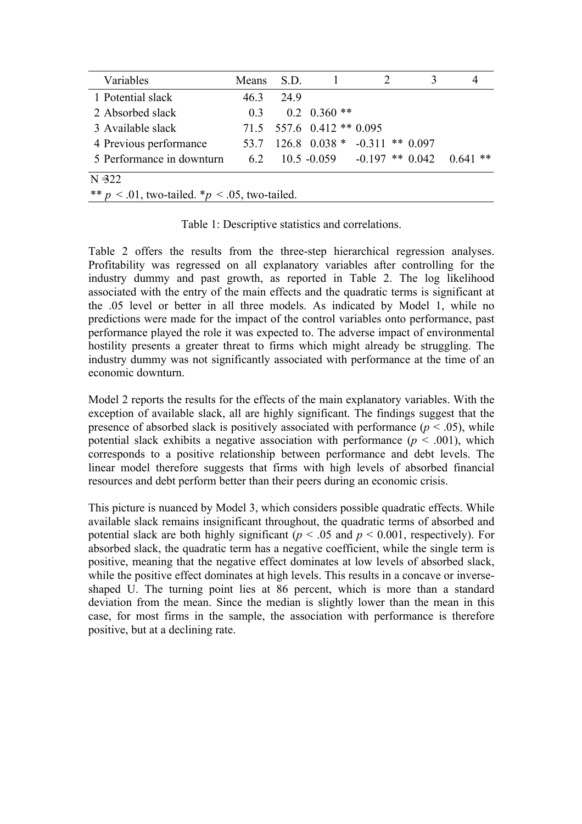| Variables                                              | Means S.D.     |      |                             |                                          |  |  |  |
|--------------------------------------------------------|----------------|------|-----------------------------|------------------------------------------|--|--|--|
| 1 Potential slack                                      | 46.3           | 24.9 |                             |                                          |  |  |  |
| 2 Absorbed slack                                       | 0 <sup>3</sup> |      | $0.2 \quad 0.360$ **        |                                          |  |  |  |
| 3 Available slack                                      |                |      | $71.5$ 557.6 0.412 ** 0.095 |                                          |  |  |  |
| 4 Previous performance                                 |                |      |                             | 53.7 126.8 0.038 * -0.311 ** 0.097       |  |  |  |
| 5 Performance in downturn                              |                |      |                             | 6.2 10.5 -0.059 -0.197 ** 0.042 0.641 ** |  |  |  |
| $N = 322$                                              |                |      |                             |                                          |  |  |  |
| ** $p < 0.01$ , two-tailed. * $p < 0.05$ , two-tailed. |                |      |                             |                                          |  |  |  |

Table 1: Descriptive statistics and correlations.

Table 2 offers the results from the three-step hierarchical regression analyses. Profitability was regressed on all explanatory variables after controlling for the industry dummy and past growth, as reported in Table 2. The log likelihood associated with the entry of the main effects and the quadratic terms is significant at the .05 level or better in all three models. As indicated by Model 1, while no predictions were made for the impact of the control variables onto performance, past performance played the role it was expected to. The adverse impact of environmental hostility presents a greater threat to firms which might already be struggling. The industry dummy was not significantly associated with performance at the time of an economic downturn.

Model 2 reports the results for the effects of the main explanatory variables. With the exception of available slack, all are highly significant. The findings suggest that the presence of absorbed slack is positively associated with performance  $(p < .05)$ , while potential slack exhibits a negative association with performance  $(p < .001)$ , which corresponds to a positive relationship between performance and debt levels. The linear model therefore suggests that firms with high levels of absorbed financial resources and debt perform better than their peers during an economic crisis.

This picture is nuanced by Model 3, which considers possible quadratic effects. While available slack remains insignificant throughout, the quadratic terms of absorbed and potential slack are both highly significant ( $p < .05$  and  $p < 0.001$ , respectively). For absorbed slack, the quadratic term has a negative coefficient, while the single term is positive, meaning that the negative effect dominates at low levels of absorbed slack, while the positive effect dominates at high levels. This results in a concave or inverseshaped U. The turning point lies at 86 percent, which is more than a standard deviation from the mean. Since the median is slightly lower than the mean in this case, for most firms in the sample, the association with performance is therefore positive, but at a declining rate.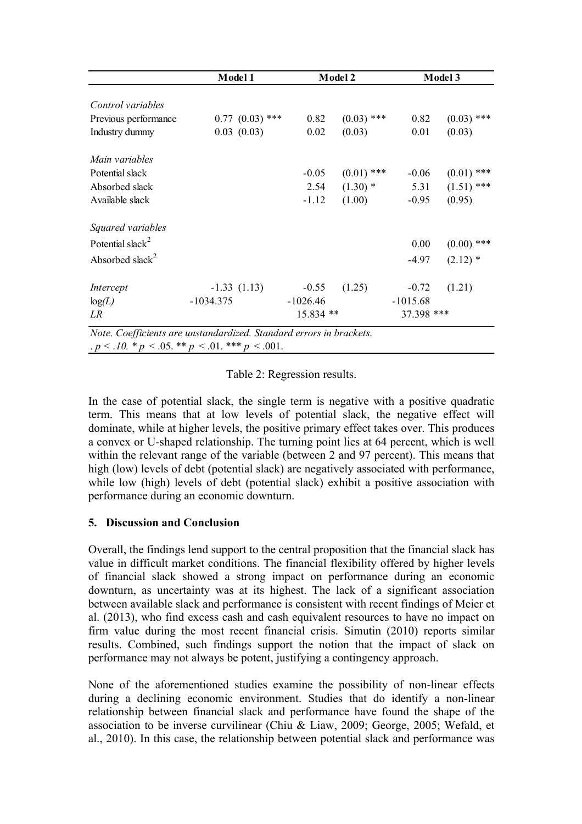|                              | Model 1                                                             |            | Model 2      | Model 3    |              |  |
|------------------------------|---------------------------------------------------------------------|------------|--------------|------------|--------------|--|
| Control variables            |                                                                     |            |              |            |              |  |
| Previous performance         | $0.77$ $(0.03)$ ***                                                 | 0.82       | $(0.03)$ *** | 0.82       | $(0.03)$ *** |  |
| Industry dummy               | 0.03(0.03)                                                          | 0.02       | (0.03)       | 0.01       | (0.03)       |  |
| Main variables               |                                                                     |            |              |            |              |  |
| Potential slack              |                                                                     | $-0.05$    | $(0.01)$ *** | $-0.06$    | $(0.01)$ *** |  |
| Absorbed slack               |                                                                     | 2.54       | $(1.30)$ *   | 5.31       | $(1.51)$ *** |  |
| Available slack              |                                                                     | $-1.12$    | (1.00)       | $-0.95$    | (0.95)       |  |
| Squared variables            |                                                                     |            |              |            |              |  |
| Potential slack <sup>2</sup> |                                                                     |            |              | 0.00       | $(0.00)$ *** |  |
| Absorbed slack <sup>2</sup>  |                                                                     |            |              | $-4.97$    | $(2.12)$ *   |  |
| Intercept                    | $-1.33(1.13)$                                                       | $-0.55$    | (1.25)       | $-0.72$    | (1.21)       |  |
| log(L)                       | $-1034.375$                                                         | $-1026.46$ |              | $-1015.68$ |              |  |
| LR                           |                                                                     | 15.834 **  |              | 37.398 *** |              |  |
|                              | Note. Coefficients are unstandardized. Standard errors in brackets. |            |              |            |              |  |

.  $p < .10$ . \*  $p < .05$ . \*\*  $p < .01$ . \*\*\*  $p < .001$ .

Table 2: Regression results.

In the case of potential slack, the single term is negative with a positive quadratic term. This means that at low levels of potential slack, the negative effect will dominate, while at higher levels, the positive primary effect takes over. This produces a convex or U-shaped relationship. The turning point lies at 64 percent, which is well within the relevant range of the variable (between 2 and 97 percent). This means that high (low) levels of debt (potential slack) are negatively associated with performance, while low (high) levels of debt (potential slack) exhibit a positive association with performance during an economic downturn.

## **5. Discussion and Conclusion**

Overall, the findings lend support to the central proposition that the financial slack has value in difficult market conditions. The financial flexibility offered by higher levels of financial slack showed a strong impact on performance during an economic downturn, as uncertainty was at its highest. The lack of a significant association between available slack and performance is consistent with recent findings of Meier et al. (2013), who find excess cash and cash equivalent resources to have no impact on firm value during the most recent financial crisis. Simutin (2010) reports similar results. Combined, such findings support the notion that the impact of slack on performance may not always be potent, justifying a contingency approach.

None of the aforementioned studies examine the possibility of non-linear effects during a declining economic environment. Studies that do identify a non-linear relationship between financial slack and performance have found the shape of the association to be inverse curvilinear (Chiu & Liaw, 2009; George, 2005; Wefald, et al., 2010). In this case, the relationship between potential slack and performance was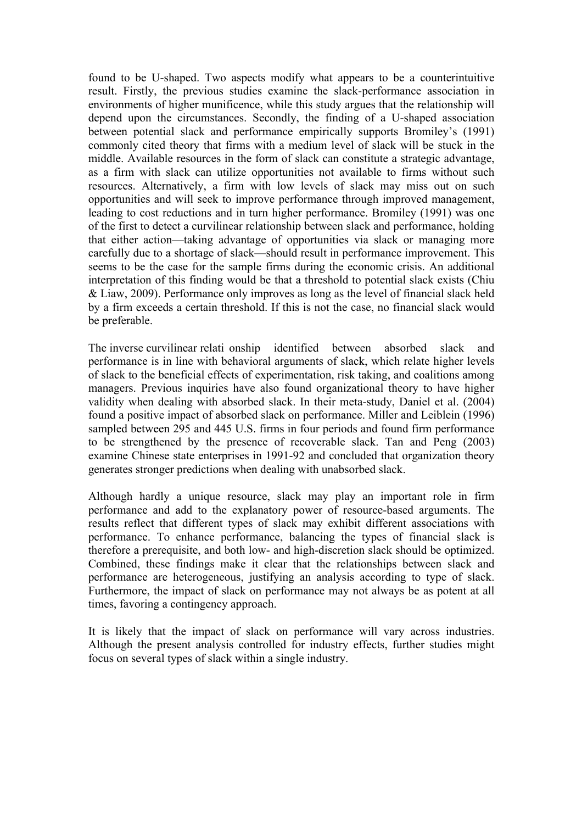found to be U-shaped. Two aspects modify what appears to be a counterintuitive result. Firstly, the previous studies examine the slack-performance association in environments of higher munificence, while this study argues that the relationship will depend upon the circumstances. Secondly, the finding of a U-shaped association between potential slack and performance empirically supports Bromiley's (1991) commonly cited theory that firms with a medium level of slack will be stuck in the middle. Available resources in the form of slack can constitute a strategic advantage, as a firm with slack can utilize opportunities not available to firms without such resources. Alternatively, a firm with low levels of slack may miss out on such opportunities and will seek to improve performance through improved management, leading to cost reductions and in turn higher performance. Bromiley (1991) was one of the first to detect a curvilinear relationship between slack and performance, holding that either action—taking advantage of opportunities via slack or managing more carefully due to a shortage of slack—should result in performance improvement. This seems to be the case for the sample firms during the economic crisis. An additional interpretation of this finding would be that a threshold to potential slack exists (Chiu & Liaw, 2009). Performance only improves as long as the level of financial slack held by a firm exceeds a certain threshold. If this is not the case, no financial slack would be preferable.

The inverse curvilinear relati onship identified between absorbed slack and performance is in line with behavioral arguments of slack, which relate higher levels of slack to the beneficial effects of experimentation, risk taking, and coalitions among managers. Previous inquiries have also found organizational theory to have higher validity when dealing with absorbed slack. In their meta-study, Daniel et al. (2004) found a positive impact of absorbed slack on performance. Miller and Leiblein (1996) sampled between 295 and 445 U.S. firms in four periods and found firm performance to be strengthened by the presence of recoverable slack. Tan and Peng (2003) examine Chinese state enterprises in 1991-92 and concluded that organization theory generates stronger predictions when dealing with unabsorbed slack.

Although hardly a unique resource, slack may play an important role in firm performance and add to the explanatory power of resource-based arguments. The results reflect that different types of slack may exhibit different associations with performance. To enhance performance, balancing the types of financial slack is therefore a prerequisite, and both low- and high-discretion slack should be optimized. Combined, these findings make it clear that the relationships between slack and performance are heterogeneous, justifying an analysis according to type of slack. Furthermore, the impact of slack on performance may not always be as potent at all times, favoring a contingency approach.

It is likely that the impact of slack on performance will vary across industries. Although the present analysis controlled for industry effects, further studies might focus on several types of slack within a single industry.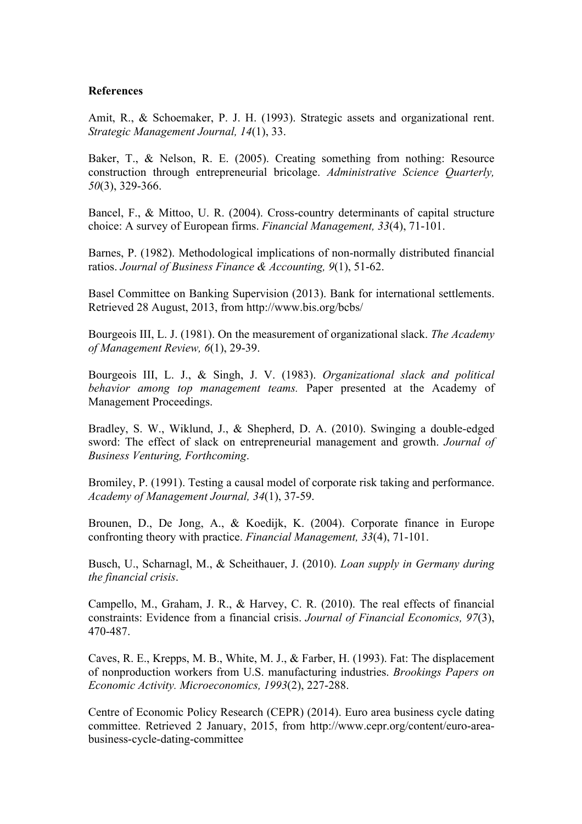#### **References**

Amit, R., & Schoemaker, P. J. H. (1993). Strategic assets and organizational rent. *Strategic Management Journal, 14*(1), 33.

Baker, T., & Nelson, R. E. (2005). Creating something from nothing: Resource construction through entrepreneurial bricolage. *Administrative Science Quarterly, 50*(3), 329-366.

Bancel, F., & Mittoo, U. R. (2004). Cross-country determinants of capital structure choice: A survey of European firms. *Financial Management, 33*(4), 71-101.

Barnes, P. (1982). Methodological implications of non-normally distributed financial ratios. *Journal of Business Finance & Accounting, 9*(1), 51-62.

Basel Committee on Banking Supervision (2013). Bank for international settlements. Retrieved 28 August, 2013, from http://www.bis.org/bcbs/

Bourgeois III, L. J. (1981). On the measurement of organizational slack. *The Academy of Management Review, 6*(1), 29-39.

Bourgeois III, L. J., & Singh, J. V. (1983). *Organizational slack and political behavior among top management teams.* Paper presented at the Academy of Management Proceedings.

Bradley, S. W., Wiklund, J., & Shepherd, D. A. (2010). Swinging a double-edged sword: The effect of slack on entrepreneurial management and growth. *Journal of Business Venturing, Forthcoming*.

Bromiley, P. (1991). Testing a causal model of corporate risk taking and performance. *Academy of Management Journal, 34*(1), 37-59.

Brounen, D., De Jong, A., & Koedijk, K. (2004). Corporate finance in Europe confronting theory with practice. *Financial Management, 33*(4), 71-101.

Busch, U., Scharnagl, M., & Scheithauer, J. (2010). *Loan supply in Germany during the financial crisis*.

Campello, M., Graham, J. R., & Harvey, C. R. (2010). The real effects of financial constraints: Evidence from a financial crisis. *Journal of Financial Economics, 97*(3), 470-487.

Caves, R. E., Krepps, M. B., White, M. J., & Farber, H. (1993). Fat: The displacement of nonproduction workers from U.S. manufacturing industries. *Brookings Papers on Economic Activity. Microeconomics, 1993*(2), 227-288.

Centre of Economic Policy Research (CEPR) (2014). Euro area business cycle dating committee. Retrieved 2 January, 2015, from http://www.cepr.org/content/euro-areabusiness-cycle-dating-committee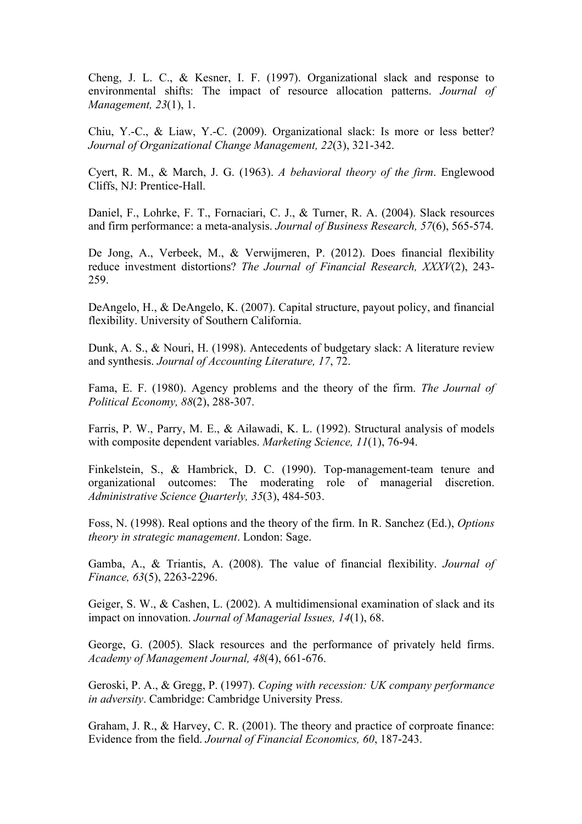Cheng, J. L. C., & Kesner, I. F. (1997). Organizational slack and response to environmental shifts: The impact of resource allocation patterns. *Journal of Management, 23*(1), 1.

Chiu, Y.-C., & Liaw, Y.-C. (2009). Organizational slack: Is more or less better? *Journal of Organizational Change Management, 22*(3), 321-342.

Cyert, R. M., & March, J. G. (1963). *A behavioral theory of the firm*. Englewood Cliffs, NJ: Prentice-Hall.

Daniel, F., Lohrke, F. T., Fornaciari, C. J., & Turner, R. A. (2004). Slack resources and firm performance: a meta-analysis. *Journal of Business Research, 57*(6), 565-574.

De Jong, A., Verbeek, M., & Verwijmeren, P. (2012). Does financial flexibility reduce investment distortions? *The Journal of Financial Research, XXXV*(2), 243- 259.

DeAngelo, H., & DeAngelo, K. (2007). Capital structure, payout policy, and financial flexibility. University of Southern California.

Dunk, A. S., & Nouri, H. (1998). Antecedents of budgetary slack: A literature review and synthesis. *Journal of Accounting Literature, 17*, 72.

Fama, E. F. (1980). Agency problems and the theory of the firm. *The Journal of Political Economy, 88*(2), 288-307.

Farris, P. W., Parry, M. E., & Ailawadi, K. L. (1992). Structural analysis of models with composite dependent variables. *Marketing Science, 11*(1), 76-94.

Finkelstein, S., & Hambrick, D. C. (1990). Top-management-team tenure and organizational outcomes: The moderating role of managerial discretion. *Administrative Science Quarterly, 35*(3), 484-503.

Foss, N. (1998). Real options and the theory of the firm. In R. Sanchez (Ed.), *Options theory in strategic management*. London: Sage.

Gamba, A., & Triantis, A. (2008). The value of financial flexibility. *Journal of Finance, 63*(5), 2263-2296.

Geiger, S. W., & Cashen, L. (2002). A multidimensional examination of slack and its impact on innovation. *Journal of Managerial Issues, 14*(1), 68.

George, G. (2005). Slack resources and the performance of privately held firms. *Academy of Management Journal, 48*(4), 661-676.

Geroski, P. A., & Gregg, P. (1997). *Coping with recession: UK company performance in adversity*. Cambridge: Cambridge University Press.

Graham, J. R., & Harvey, C. R. (2001). The theory and practice of corproate finance: Evidence from the field. *Journal of Financial Economics, 60*, 187-243.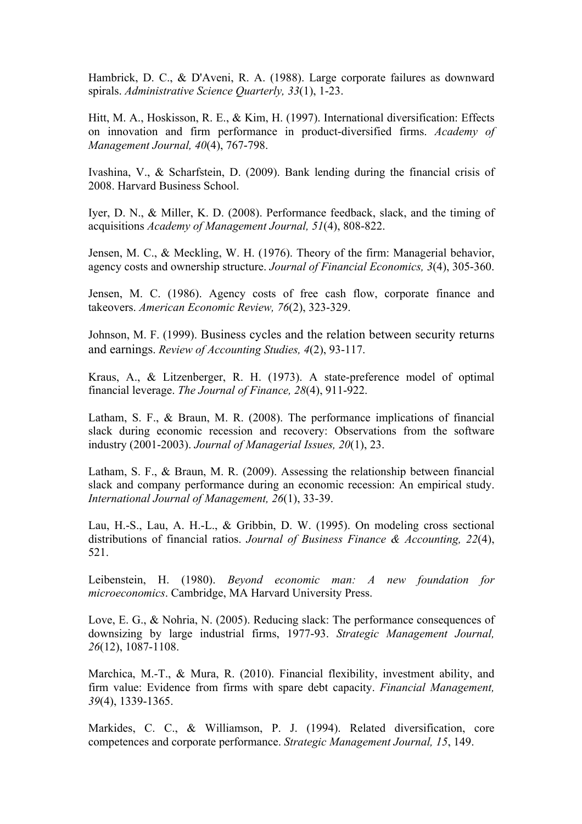Hambrick, D. C., & D'Aveni, R. A. (1988). Large corporate failures as downward spirals. *Administrative Science Quarterly, 33*(1), 1-23.

Hitt, M. A., Hoskisson, R. E., & Kim, H. (1997). International diversification: Effects on innovation and firm performance in product-diversified firms. *Academy of Management Journal, 40*(4), 767-798.

Ivashina, V., & Scharfstein, D. (2009). Bank lending during the financial crisis of 2008. Harvard Business School.

Iyer, D. N., & Miller, K. D. (2008). Performance feedback, slack, and the timing of acquisitions *Academy of Management Journal, 51*(4), 808-822.

Jensen, M. C., & Meckling, W. H. (1976). Theory of the firm: Managerial behavior, agency costs and ownership structure. *Journal of Financial Economics, 3*(4), 305-360.

Jensen, M. C. (1986). Agency costs of free cash flow, corporate finance and takeovers. *American Economic Review, 76*(2), 323-329.

Johnson, M. F. (1999). Business cycles and the relation between security returns and earnings. *Review of Accounting Studies, 4*(2), 93-117.

Kraus, A., & Litzenberger, R. H. (1973). A state-preference model of optimal financial leverage. *The Journal of Finance, 28*(4), 911-922.

Latham, S. F., & Braun, M. R. (2008). The performance implications of financial slack during economic recession and recovery: Observations from the software industry (2001-2003). *Journal of Managerial Issues, 20*(1), 23.

Latham, S. F., & Braun, M. R. (2009). Assessing the relationship between financial slack and company performance during an economic recession: An empirical study. *International Journal of Management, 26*(1), 33-39.

Lau, H.-S., Lau, A. H.-L., & Gribbin, D. W. (1995). On modeling cross sectional distributions of financial ratios. *Journal of Business Finance & Accounting, 22*(4), 521.

Leibenstein, H. (1980). *Beyond economic man: A new foundation for microeconomics*. Cambridge, MA Harvard University Press.

Love, E. G., & Nohria, N. (2005). Reducing slack: The performance consequences of downsizing by large industrial firms, 1977-93. *Strategic Management Journal, 26*(12), 1087-1108.

Marchica, M.-T., & Mura, R. (2010). Financial flexibility, investment ability, and firm value: Evidence from firms with spare debt capacity. *Financial Management, 39*(4), 1339-1365.

Markides, C. C., & Williamson, P. J. (1994). Related diversification, core competences and corporate performance. *Strategic Management Journal, 15*, 149.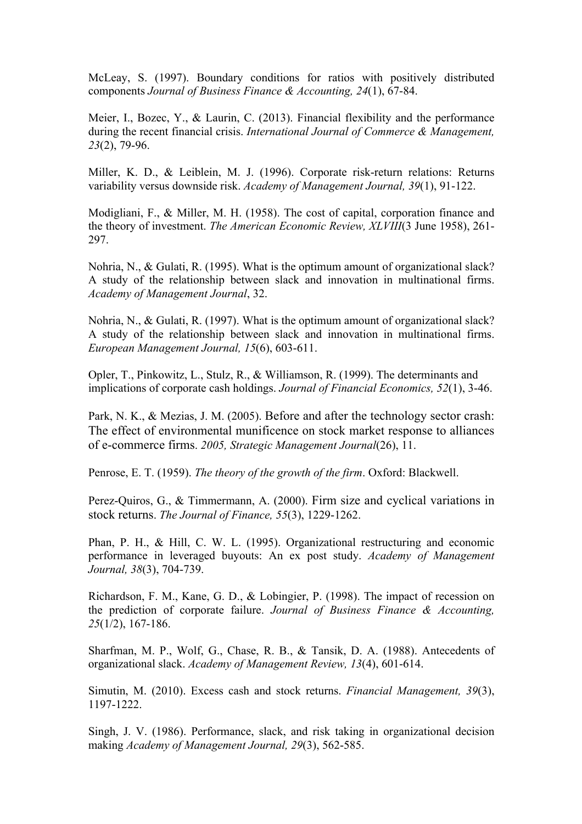McLeay, S. (1997). Boundary conditions for ratios with positively distributed components *Journal of Business Finance & Accounting, 24*(1), 67-84.

Meier, I., Bozec, Y., & Laurin, C. (2013). Financial flexibility and the performance during the recent financial crisis. *International Journal of Commerce & Management, 23*(2), 79-96.

Miller, K. D., & Leiblein, M. J. (1996). Corporate risk-return relations: Returns variability versus downside risk. *Academy of Management Journal, 39*(1), 91-122.

Modigliani, F., & Miller, M. H. (1958). The cost of capital, corporation finance and the theory of investment. *The American Economic Review, XLVIII*(3 June 1958), 261- 297.

Nohria, N., & Gulati, R. (1995). What is the optimum amount of organizational slack? A study of the relationship between slack and innovation in multinational firms. *Academy of Management Journal*, 32.

Nohria, N., & Gulati, R. (1997). What is the optimum amount of organizational slack? A study of the relationship between slack and innovation in multinational firms. *European Management Journal, 15*(6), 603-611.

Opler, T., Pinkowitz, L., Stulz, R., & Williamson, R. (1999). The determinants and implications of corporate cash holdings. *Journal of Financial Economics, 52*(1), 3-46.

Park, N. K., & Mezias, J. M. (2005). Before and after the technology sector crash: The effect of environmental munificence on stock market response to alliances of e-commerce firms. *2005, Strategic Management Journal*(26), 11.

Penrose, E. T. (1959). *The theory of the growth of the firm*. Oxford: Blackwell.

Perez-Quiros, G., & Timmermann, A. (2000). Firm size and cyclical variations in stock returns. *The Journal of Finance, 55*(3), 1229-1262.

Phan, P. H., & Hill, C. W. L. (1995). Organizational restructuring and economic performance in leveraged buyouts: An ex post study. *Academy of Management Journal, 38*(3), 704-739.

Richardson, F. M., Kane, G. D., & Lobingier, P. (1998). The impact of recession on the prediction of corporate failure. *Journal of Business Finance & Accounting, 25*(1/2), 167-186.

Sharfman, M. P., Wolf, G., Chase, R. B., & Tansik, D. A. (1988). Antecedents of organizational slack. *Academy of Management Review, 13*(4), 601-614.

Simutin, M. (2010). Excess cash and stock returns. *Financial Management, 39*(3), 1197-1222.

Singh, J. V. (1986). Performance, slack, and risk taking in organizational decision making *Academy of Management Journal, 29*(3), 562-585.